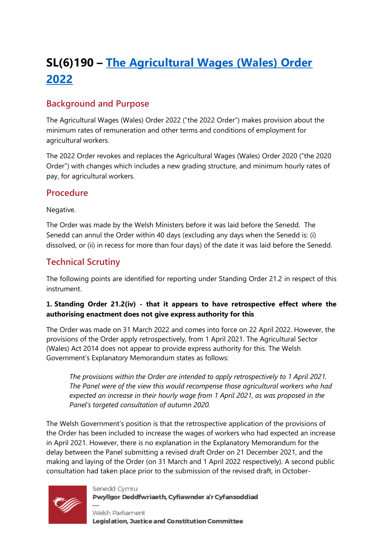# **SL(6)190 – [The Agricultural Wages \(Wales\) Order](https://business.senedd.wales/mgIssueHistoryHome.aspx?IId=39169)  [2022](https://business.senedd.wales/mgIssueHistoryHome.aspx?IId=39169)**

## **Background and Purpose**

The Agricultural Wages (Wales) Order 2022 ("the 2022 Order") makes provision about the minimum rates of remuneration and other terms and conditions of employment for agricultural workers.

The 2022 Order revokes and replaces the Agricultural Wages (Wales) Order 2020 ("the 2020 Order") with changes which includes a new grading structure, and minimum hourly rates of pay, for agricultural workers.

#### **Procedure**

#### Negative.

The Order was made by the Welsh Ministers before it was laid before the Senedd. The Senedd can annul the Order within 40 days (excluding any days when the Senedd is: (i) dissolved, or (ii) in recess for more than four days) of the date it was laid before the Senedd.

### **Technical Scrutiny**

The following points are identified for reporting under Standing Order 21.2 in respect of this instrument.

#### **1. Standing Order 21.2(iv) - that it appears to have retrospective effect where the authorising enactment does not give express authority for this**

The Order was made on 31 March 2022 and comes into force on 22 April 2022. However, the provisions of the Order apply retrospectively, from 1 April 2021. The Agricultural Sector (Wales) Act 2014 does not appear to provide express authority for this. The Welsh Government's Explanatory Memorandum states as follows:

*The provisions within the Order are intended to apply retrospectively to 1 April 2021. The Panel were of the view this would recompense those agricultural workers who had expected an increase in their hourly wage from 1 April 2021, as was proposed in the Panel's targeted consultation of autumn 2020.* 

The Welsh Government's position is that the retrospective application of the provisions of the Order has been included to increase the wages of workers who had expected an increase in April 2021. However, there is no explanation in the Explanatory Memorandum for the delay between the Panel submitting a revised draft Order on 21 December 2021, and the making and laying of the Order (on 31 March and 1 April 2022 respectively). A second public consultation had taken place prior to the submission of the revised draft, in October-



Senedd Cymru Pwyllgor Deddfwriaeth, Cyfiawnder a'r Cyfansoddiad

Welsh Parliament Legislation, Justice and Constitution Committee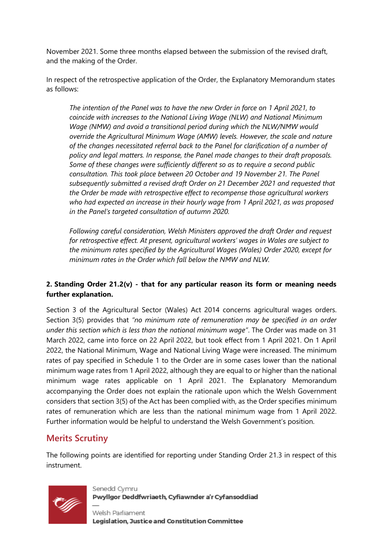November 2021. Some three months elapsed between the submission of the revised draft, and the making of the Order.

In respect of the retrospective application of the Order, the Explanatory Memorandum states as follows:

*The intention of the Panel was to have the new Order in force on 1 April 2021, to coincide with increases to the National Living Wage (NLW) and National Minimum Wage (NMW) and avoid a transitional period during which the NLW/NMW would override the Agricultural Minimum Wage (AMW) levels. However, the scale and nature of the changes necessitated referral back to the Panel for clarification of a number of policy and legal matters. In response, the Panel made changes to their draft proposals. Some of these changes were sufficiently different so as to require a second public consultation. This took place between 20 October and 19 November 21. The Panel subsequently submitted a revised draft Order on 21 December 2021 and requested that the Order be made with retrospective effect to recompense those agricultural workers who had expected an increase in their hourly wage from 1 April 2021, as was proposed in the Panel's targeted consultation of autumn 2020.*

*Following careful consideration, Welsh Ministers approved the draft Order and request for retrospective effect. At present, agricultural workers' wages in Wales are subject to the minimum rates specified by the Agricultural Wages (Wales) Order 2020, except for minimum rates in the Order which fall below the NMW and NLW.* 

#### **2. Standing Order 21.2(v) - that for any particular reason its form or meaning needs further explanation.**

Section 3 of the Agricultural Sector (Wales) Act 2014 concerns agricultural wages orders. Section 3(5) provides that *"no minimum rate of remuneration may be specified in an order under this section which is less than the national minimum wage"*. The Order was made on 31 March 2022, came into force on 22 April 2022, but took effect from 1 April 2021. On 1 April 2022, the National Minimum, Wage and National Living Wage were increased. The minimum rates of pay specified in Schedule 1 to the Order are in some cases lower than the national minimum wage rates from 1 April 2022, although they are equal to or higher than the national minimum wage rates applicable on 1 April 2021. The Explanatory Memorandum accompanying the Order does not explain the rationale upon which the Welsh Government considers that section 3(5) of the Act has been complied with, as the Order specifies minimum rates of remuneration which are less than the national minimum wage from 1 April 2022. Further information would be helpful to understand the Welsh Government's position.

# **Merits Scrutiny**

The following points are identified for reporting under Standing Order 21.3 in respect of this instrument.



Senedd Cymru Pwyllgor Deddfwriaeth, Cyfiawnder a'r Cyfansoddiad

Welsh Parliament Legislation, Justice and Constitution Committee